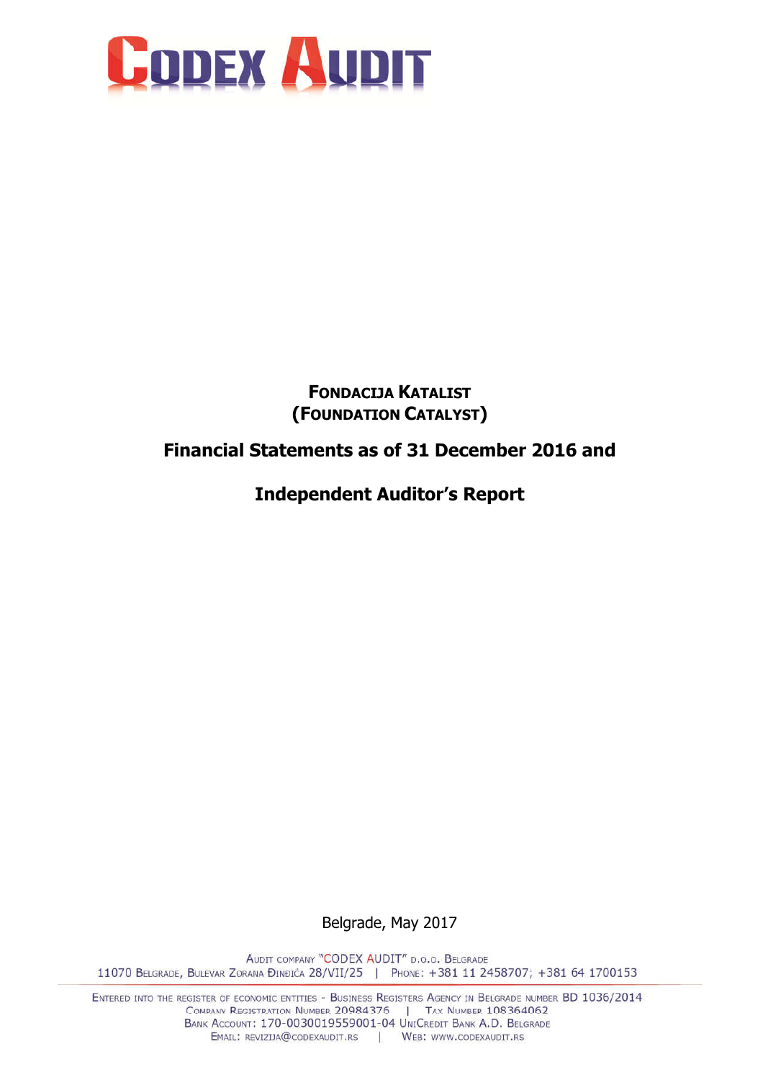

## FONDACIJA KATALIST (FOUNDATION CATALYST)

## Financial Statements as of 31 December 2016 and

Independent Auditor's Report

Belgrade, May 2017

AUDIT COMPANY "CODEX AUDIT" D.O.O. BELGRADE 11070 BELGRADE, BULEVAR ZORANA ĐINĐIĆA 28/VII/25 | PHONE: +381 11 2458707; +381 64 1700153

ENTERED INTO THE REGISTER OF ECONOMIC ENTITIES - BUSINESS REGISTERS AGENCY IN BELGRADE NUMBER BD 1036/2014 COMPANY REGISTRATION NUMBER 20984376 | TAX NUMBER 108364062 BANK ACCOUNT: 170-0030019559001-04 UNICREDIT BANK A.D. BELGRADE EMAIL: REVIZIJA@CODEXAUDIT.RS. | WEB: WWW.CODEXAUDIT.RS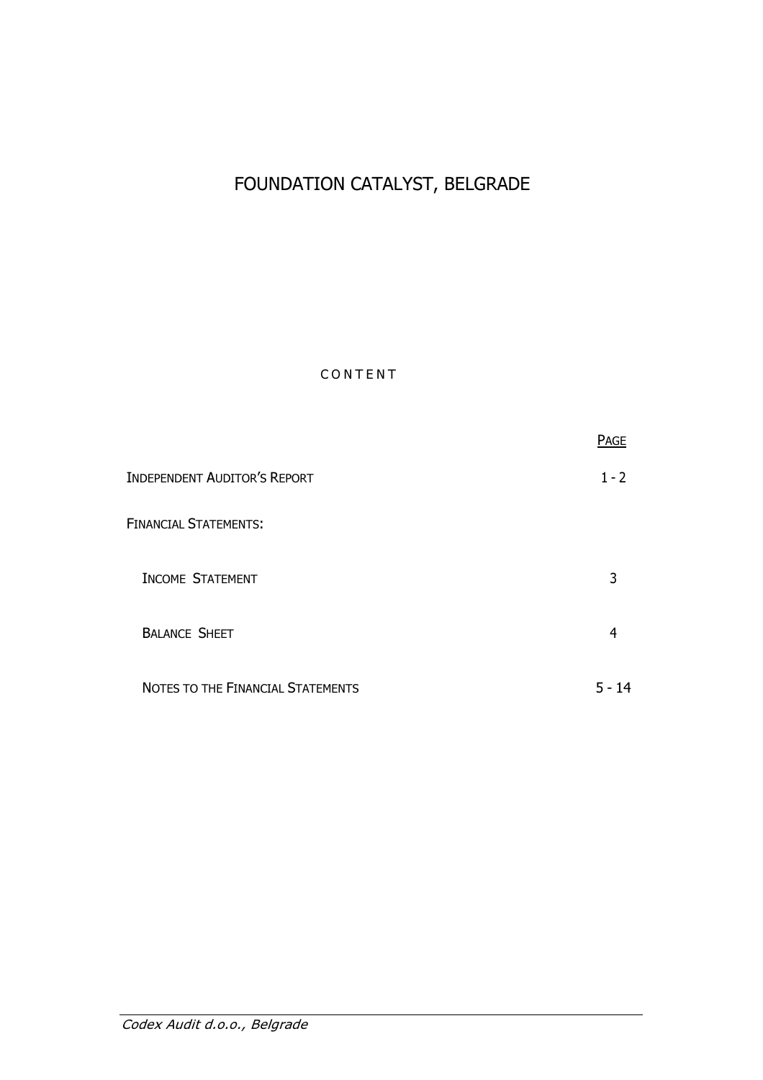## CONTENT

|                                          | PAGE    |
|------------------------------------------|---------|
| <b>INDEPENDENT AUDITOR'S REPORT</b>      | $1 - 2$ |
| <b>FINANCIAL STATEMENTS:</b>             |         |
| <b>INCOME STATEMENT</b>                  | 3       |
| <b>BALANCE SHEET</b>                     |         |
| <b>NOTES TO THE FINANCIAL STATEMENTS</b> | 5 - 14  |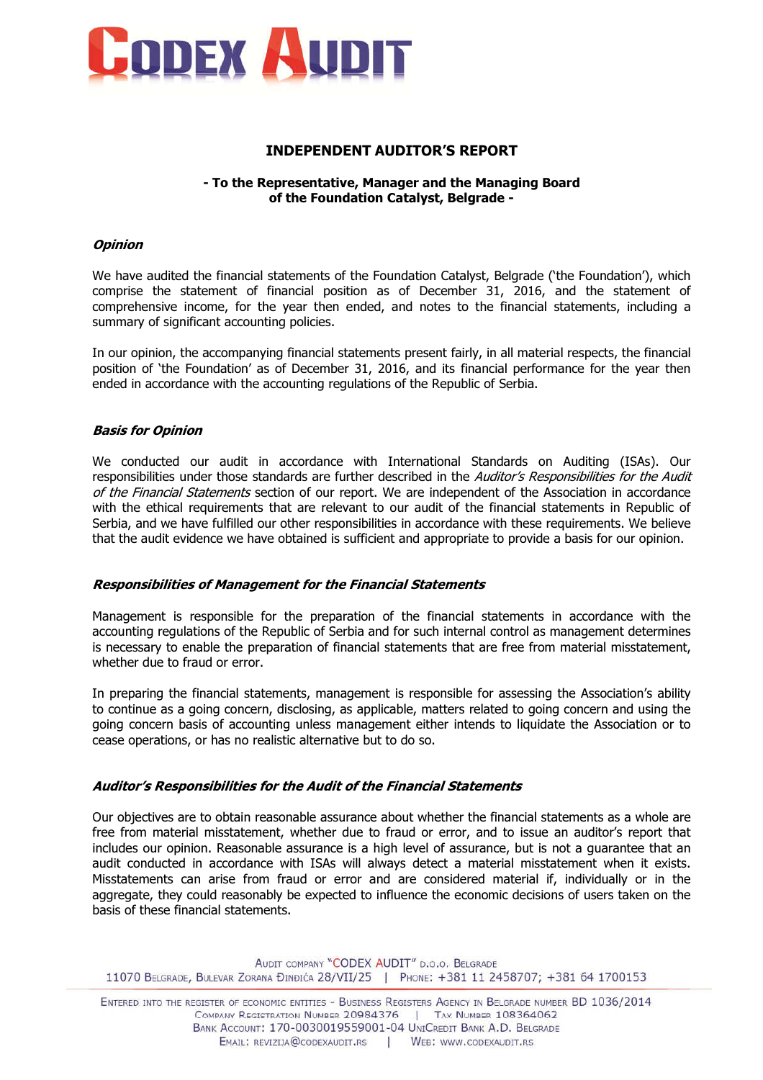

## INDEPENDENT AUDITOR'S REPORT

#### - To the Representative, Manager and the Managing Board of the Foundation Catalyst, Belgrade -

#### **Opinion**

We have audited the financial statements of the Foundation Catalyst, Belgrade ('the Foundation'), which comprise the statement of financial position as of December 31, 2016, and the statement of comprehensive income, for the year then ended, and notes to the financial statements, including a summary of significant accounting policies.

In our opinion, the accompanying financial statements present fairly, in all material respects, the financial position of 'the Foundation' as of December 31, 2016, and its financial performance for the year then ended in accordance with the accounting regulations of the Republic of Serbia.

#### Basis for Opinion

We conducted our audit in accordance with International Standards on Auditing (ISAs). Our responsibilities under those standards are further described in the Auditor's Responsibilities for the Audit of the Financial Statements section of our report. We are independent of the Association in accordance with the ethical requirements that are relevant to our audit of the financial statements in Republic of Serbia, and we have fulfilled our other responsibilities in accordance with these requirements. We believe that the audit evidence we have obtained is sufficient and appropriate to provide a basis for our opinion.

#### Responsibilities of Management for the Financial Statements

Management is responsible for the preparation of the financial statements in accordance with the accounting regulations of the Republic of Serbia and for such internal control as management determines is necessary to enable the preparation of financial statements that are free from material misstatement, whether due to fraud or error.

In preparing the financial statements, management is responsible for assessing the Association's ability to continue as a going concern, disclosing, as applicable, matters related to going concern and using the going concern basis of accounting unless management either intends to liquidate the Association or to cease operations, or has no realistic alternative but to do so.

#### Auditor's Responsibilities for the Audit of the Financial Statements

Our objectives are to obtain reasonable assurance about whether the financial statements as a whole are free from material misstatement, whether due to fraud or error, and to issue an auditor's report that includes our opinion. Reasonable assurance is a high level of assurance, but is not a guarantee that an audit conducted in accordance with ISAs will always detect a material misstatement when it exists. Misstatements can arise from fraud or error and are considered material if, individually or in the aggregate, they could reasonably be expected to influence the economic decisions of users taken on the basis of these financial statements.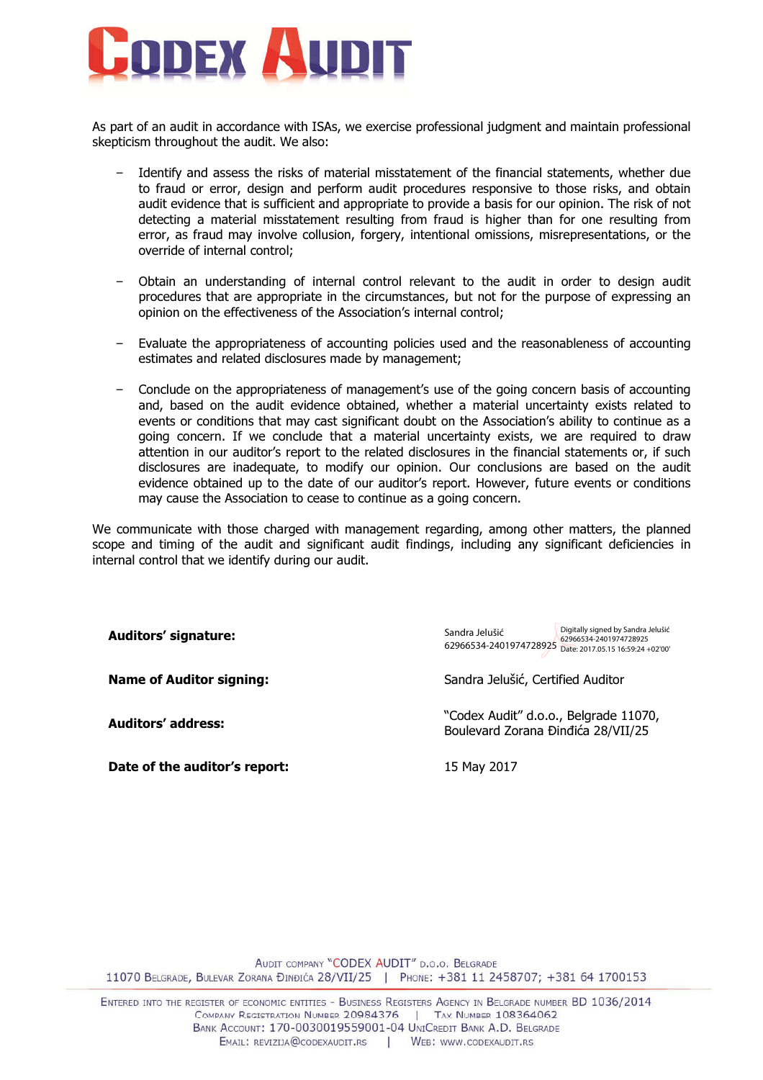# ODEX AUDIT

As part of an audit in accordance with ISAs, we exercise professional judgment and maintain professional skepticism throughout the audit. We also:

- Identify and assess the risks of material misstatement of the financial statements, whether due to fraud or error, design and perform audit procedures responsive to those risks, and obtain audit evidence that is sufficient and appropriate to provide a basis for our opinion. The risk of not detecting a material misstatement resulting from fraud is higher than for one resulting from error, as fraud may involve collusion, forgery, intentional omissions, misrepresentations, or the override of internal control;
- Obtain an understanding of internal control relevant to the audit in order to design audit procedures that are appropriate in the circumstances, but not for the purpose of expressing an opinion on the effectiveness of the Association's internal control;
- Evaluate the appropriateness of accounting policies used and the reasonableness of accounting estimates and related disclosures made by management;
- Conclude on the appropriateness of management's use of the going concern basis of accounting and, based on the audit evidence obtained, whether a material uncertainty exists related to events or conditions that may cast significant doubt on the Association's ability to continue as a going concern. If we conclude that a material uncertainty exists, we are required to draw attention in our auditor's report to the related disclosures in the financial statements or, if such disclosures are inadequate, to modify our opinion. Our conclusions are based on the audit evidence obtained up to the date of our auditor's report. However, future events or conditions may cause the Association to cease to continue as a going concern.

We communicate with those charged with management regarding, among other matters, the planned scope and timing of the audit and significant audit findings, including any significant deficiencies in internal control that we identify during our audit.

Auditors' signature: Name of Auditor signing: Sandra Jelušić, Certified Auditor Sandra Jelušić

**Date of the auditor's report:** 15 May 2017

62966534-2401974728925 62966534-2401974728925 Date: 2017.05.15 16:59:24 +02'00'Digitally signed by Sandra Jelušić

Auditors' address:<br>
Auditors' address:<br>
The contract of the contract of the contract of the contract of the contract of the contract of the contract of the contract of the contract of the contract of the contract of the co Boulevard Zorana Đinđića 28/VII/25

AUDIT COMPANY "CODEX AUDIT" D.O.O. BELGRADE 11070 BELGRADE, BULEVAR ZORANA ĐINĐIĆA 28/VII/25 | PHONE: +381 11 2458707; +381 64 1700153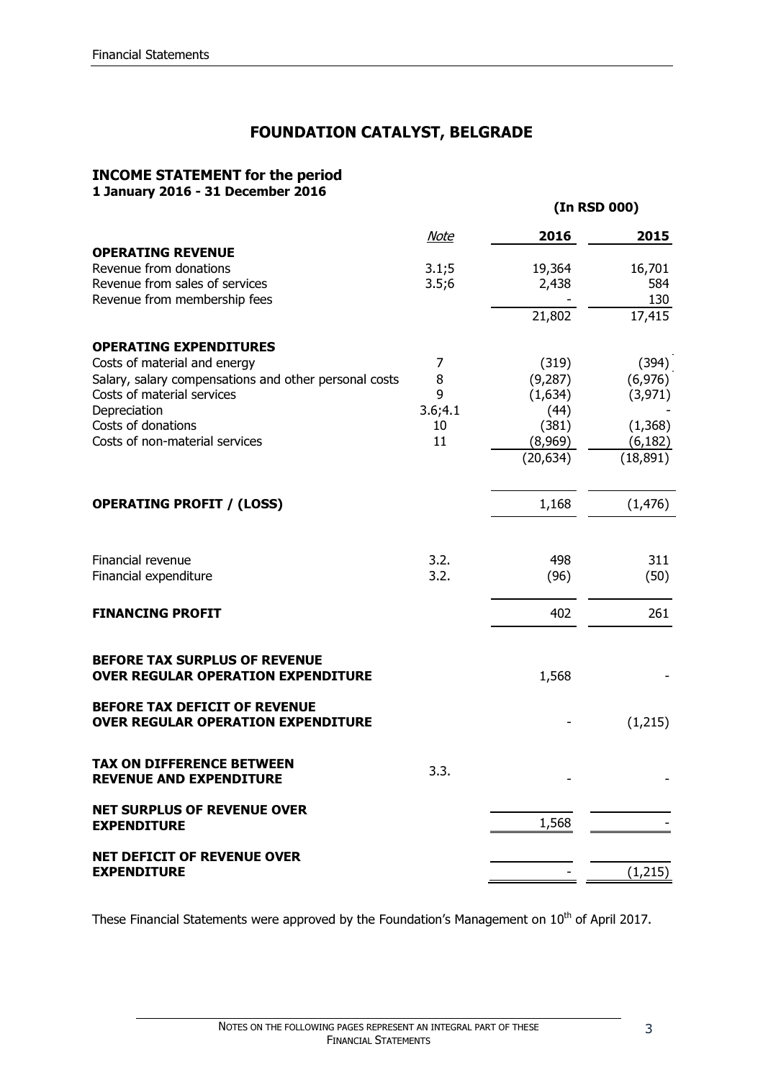(In RSD 000)

#### INCOME STATEMENT for the period

1 January 2016 - 31 December 2016

|                                                                                                                                                                                                                              |                                    |                                                                       | , זייט שטאו וו <b>צ</b>                                           |
|------------------------------------------------------------------------------------------------------------------------------------------------------------------------------------------------------------------------------|------------------------------------|-----------------------------------------------------------------------|-------------------------------------------------------------------|
|                                                                                                                                                                                                                              | <b>Note</b>                        | 2016                                                                  | 2015                                                              |
| <b>OPERATING REVENUE</b><br>Revenue from donations<br>Revenue from sales of services<br>Revenue from membership fees                                                                                                         | 3.1;5<br>3.5;6                     | 19,364<br>2,438                                                       | 16,701<br>584<br>130                                              |
|                                                                                                                                                                                                                              |                                    | 21,802                                                                | 17,415                                                            |
| <b>OPERATING EXPENDITURES</b><br>Costs of material and energy<br>Salary, salary compensations and other personal costs<br>Costs of material services<br>Depreciation<br>Costs of donations<br>Costs of non-material services | 7<br>8<br>9<br>3.6;4.1<br>10<br>11 | (319)<br>(9, 287)<br>(1,634)<br>(44)<br>(381)<br>(8,969)<br>(20, 634) | (394)<br>(6,976)<br>(3, 971)<br>(1, 368)<br>(6, 182)<br>(18, 891) |
| <b>OPERATING PROFIT / (LOSS)</b>                                                                                                                                                                                             |                                    | 1,168                                                                 | (1, 476)                                                          |
| Financial revenue<br>Financial expenditure                                                                                                                                                                                   | 3.2.<br>3.2.                       | 498<br>(96)                                                           | 311<br>(50)                                                       |
| <b>FINANCING PROFIT</b>                                                                                                                                                                                                      |                                    | 402                                                                   | 261                                                               |
| <b>BEFORE TAX SURPLUS OF REVENUE</b><br><b>OVER REGULAR OPERATION EXPENDITURE</b>                                                                                                                                            |                                    | 1,568                                                                 |                                                                   |
| <b>BEFORE TAX DEFICIT OF REVENUE</b><br><b>OVER REGULAR OPERATION EXPENDITURE</b>                                                                                                                                            |                                    |                                                                       | (1,215)                                                           |
| <b>TAX ON DIFFERENCE BETWEEN</b><br><b>REVENUE AND EXPENDITURE</b>                                                                                                                                                           | 3.3.                               |                                                                       |                                                                   |
| <b>NET SURPLUS OF REVENUE OVER</b><br><b>EXPENDITURE</b>                                                                                                                                                                     |                                    | 1,568                                                                 |                                                                   |
| <b>NET DEFICIT OF REVENUE OVER</b><br><b>EXPENDITURE</b>                                                                                                                                                                     |                                    |                                                                       | (1,215)                                                           |

These Financial Statements were approved by the Foundation's Management on 10<sup>th</sup> of April 2017.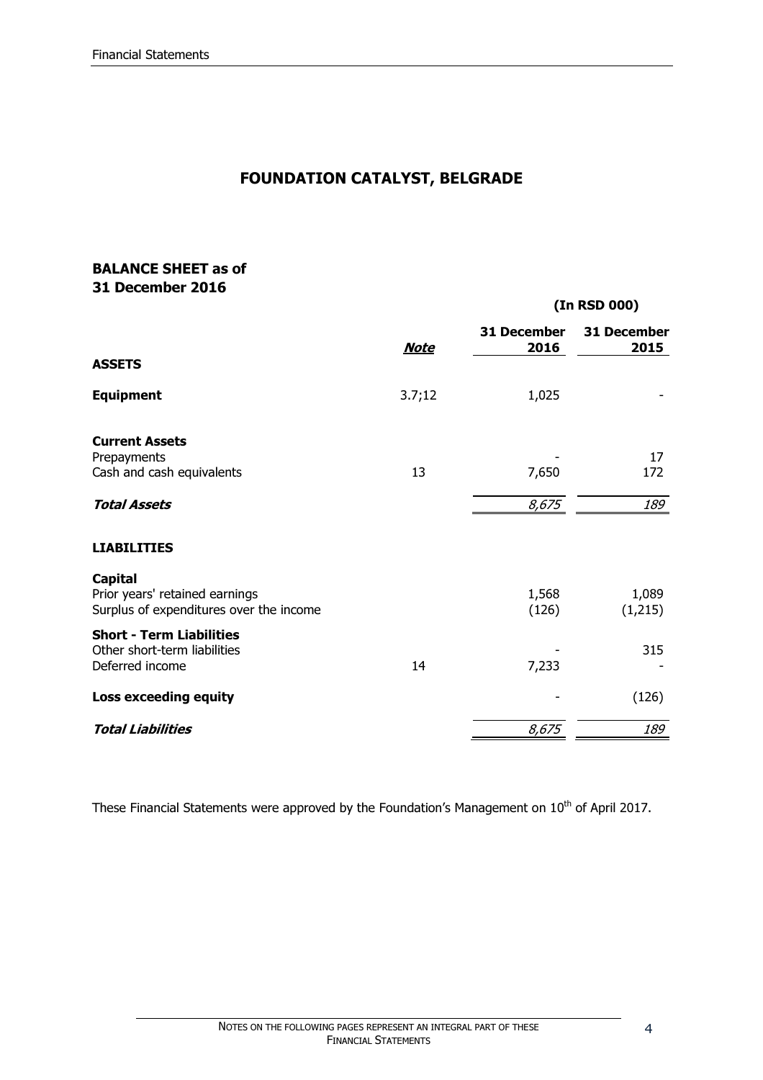## BALANCE SHEET as of 31 December 2016

|                                                                                             |             | (In RSD 000)        |                            |
|---------------------------------------------------------------------------------------------|-------------|---------------------|----------------------------|
| <b>ASSETS</b>                                                                               | <u>Note</u> | 31 December<br>2016 | <b>31 December</b><br>2015 |
| <b>Equipment</b>                                                                            | 3.7;12      | 1,025               |                            |
| <b>Current Assets</b><br>Prepayments<br>Cash and cash equivalents                           | 13          | 7,650               | 17<br>172                  |
| <b>Total Assets</b>                                                                         |             | 8,675               | 189                        |
| <b>LIABILITIES</b>                                                                          |             |                     |                            |
| <b>Capital</b><br>Prior years' retained earnings<br>Surplus of expenditures over the income |             | 1,568<br>(126)      | 1,089<br>(1,215)           |
| <b>Short - Term Liabilities</b><br>Other short-term liabilities<br>Deferred income          | 14          | 7,233               | 315                        |
| Loss exceeding equity                                                                       |             |                     | (126)                      |
| <b>Total Liabilities</b>                                                                    |             | 8,675               | 189                        |

These Financial Statements were approved by the Foundation's Management on 10<sup>th</sup> of April 2017.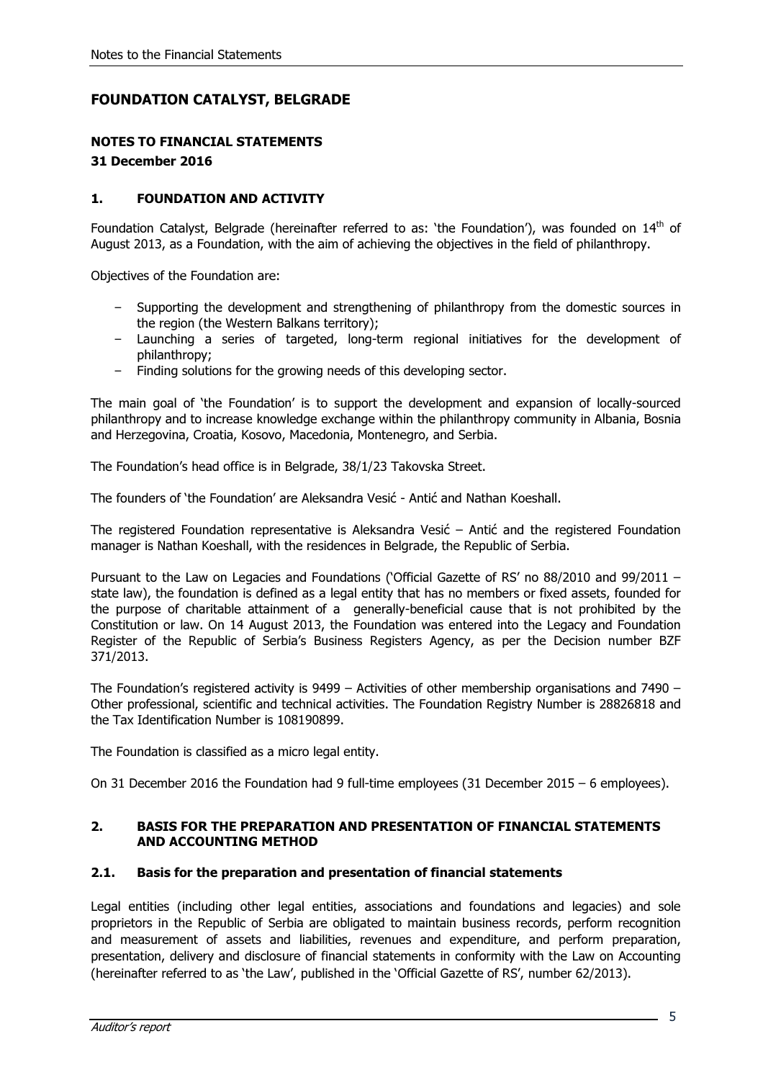#### NOTES TO FINANCIAL STATEMENTS 31 December 2016

#### 1. FOUNDATION AND ACTIVITY

Foundation Catalyst, Belgrade (hereinafter referred to as: 'the Foundation'), was founded on  $14<sup>th</sup>$  of August 2013, as a Foundation, with the aim of achieving the objectives in the field of philanthropy.

Objectives of the Foundation are:

- Supporting the development and strengthening of philanthropy from the domestic sources in the region (the Western Balkans territory);
- Launching a series of targeted, long-term regional initiatives for the development of philanthropy;
- Finding solutions for the growing needs of this developing sector.

The main goal of 'the Foundation' is to support the development and expansion of locally-sourced philanthropy and to increase knowledge exchange within the philanthropy community in Albania, Bosnia and Herzegovina, Croatia, Kosovo, Macedonia, Montenegro, and Serbia.

The Foundation's head office is in Belgrade, 38/1/23 Takovska Street.

The founders of 'the Foundation' are Aleksandra Vesić - Antić and Nathan Koeshall.

The registered Foundation representative is Aleksandra Vesić – Antić and the registered Foundation manager is Nathan Koeshall, with the residences in Belgrade, the Republic of Serbia.

Pursuant to the Law on Legacies and Foundations ('Official Gazette of RS' no 88/2010 and 99/2011 – state law), the foundation is defined as a legal entity that has no members or fixed assets, founded for the purpose of charitable attainment of a generally-beneficial cause that is not prohibited by the Constitution or law. On 14 August 2013, the Foundation was entered into the Legacy and Foundation Register of the Republic of Serbia's Business Registers Agency, as per the Decision number BZF 371/2013.

The Foundation's registered activity is 9499 – Activities of other membership organisations and 7490 – Other professional, scientific and technical activities. The Foundation Registry Number is 28826818 and the Tax Identification Number is 108190899.

The Foundation is classified as a micro legal entity.

On 31 December 2016 the Foundation had 9 full-time employees (31 December 2015 – 6 employees).

#### 2. BASIS FOR THE PREPARATION AND PRESENTATION OF FINANCIAL STATEMENTS AND ACCOUNTING METHOD

#### 2.1. Basis for the preparation and presentation of financial statements

Legal entities (including other legal entities, associations and foundations and legacies) and sole proprietors in the Republic of Serbia are obligated to maintain business records, perform recognition and measurement of assets and liabilities, revenues and expenditure, and perform preparation, presentation, delivery and disclosure of financial statements in conformity with the Law on Accounting (hereinafter referred to as 'the Law', published in the 'Official Gazette of RS', number 62/2013).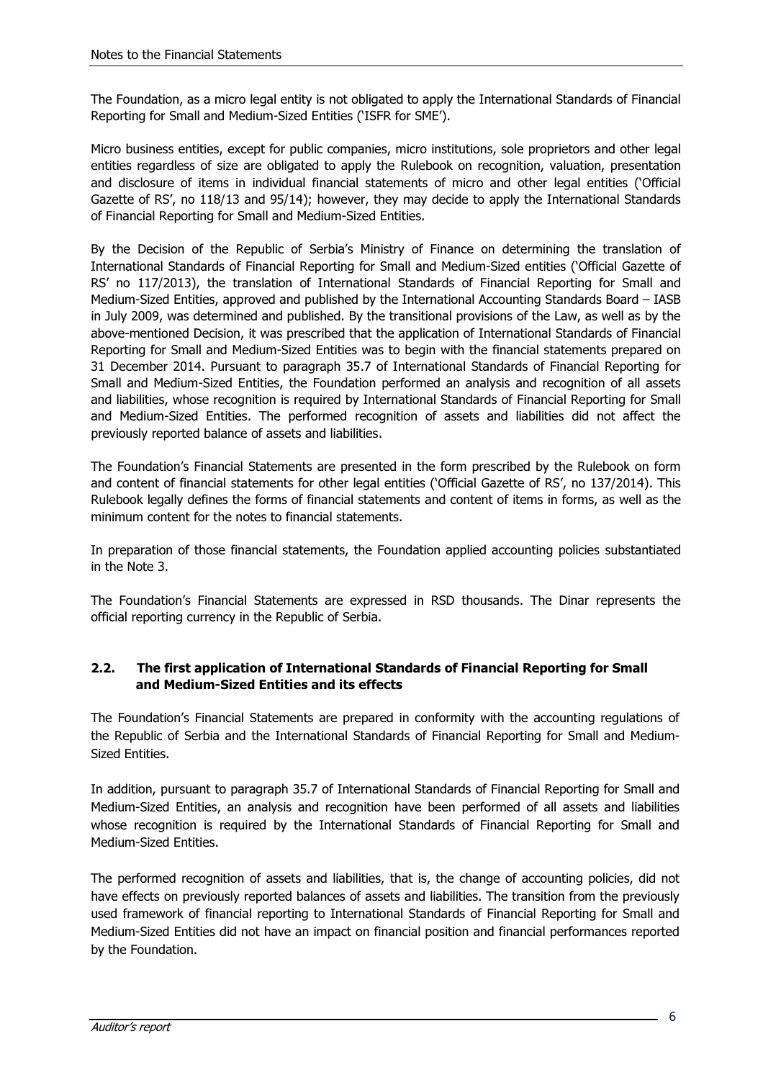The Foundation, as a micro legal entity is not obligated to apply the International Standards of Financial Reporting for Small and Medium-Sized Entities ('ISFR for SME').

Micro business entities, except for public companies, micro institutions, sole proprietors and other legal entities regardless of size are obligated to apply the Rulebook on recognition, valuation, presentation and disclosure of items in individual financial statements of micro and other legal entities ('Official Gazette of RS', no 118/13 and 95/14); however, they may decide to apply the International Standards of Financial Reporting for Small and Medium-Sized Entities.

By the Decision of the Republic of Serbia's Ministry of Finance on determining the translation of International Standards of Financial Reporting for Small and Medium-Sized entities ('Official Gazette of RS' no 117/2013), the translation of International Standards of Financial Reporting for Small and Medium-Sized Entities, approved and published by the International Accounting Standards Board – IASB in July 2009, was determined and published. By the transitional provisions of the Law, as well as by the above-mentioned Decision, it was prescribed that the application of International Standards of Financial Reporting for Small and Medium-Sized Entities was to begin with the financial statements prepared on 31 December 2014. Pursuant to paragraph 35.7 of International Standards of Financial Reporting for Small and Medium-Sized Entities, the Foundation performed an analysis and recognition of all assets and liabilities, whose recognition is required by International Standards of Financial Reporting for Small and Medium-Sized Entities. The performed recognition of assets and liabilities did not affect the previously reported balance of assets and liabilities.

The Foundation's Financial Statements are presented in the form prescribed by the Rulebook on form and content of financial statements for other legal entities ('Official Gazette of RS', no 137/2014). This Rulebook legally defines the forms of financial statements and content of items in forms, as well as the minimum content for the notes to financial statements.

In preparation of those financial statements, the Foundation applied accounting policies substantiated in the Note 3.

The Foundation's Financial Statements are expressed in RSD thousands. The Dinar represents the official reporting currency in the Republic of Serbia.

## 2.2. The first application of International Standards of Financial Reporting for Small and Medium-Sized Entities and its effects

The Foundation's Financial Statements are prepared in conformity with the accounting regulations of the Republic of Serbia and the International Standards of Financial Reporting for Small and Medium-Sized Entities.

In addition, pursuant to paragraph 35.7 of International Standards of Financial Reporting for Small and Medium-Sized Entities, an analysis and recognition have been performed of all assets and liabilities whose recognition is required by the International Standards of Financial Reporting for Small and Medium-Sized Entities.

The performed recognition of assets and liabilities, that is, the change of accounting policies, did not have effects on previously reported balances of assets and liabilities. The transition from the previously used framework of financial reporting to International Standards of Financial Reporting for Small and Medium-Sized Entities did not have an impact on financial position and financial performances reported by the Foundation.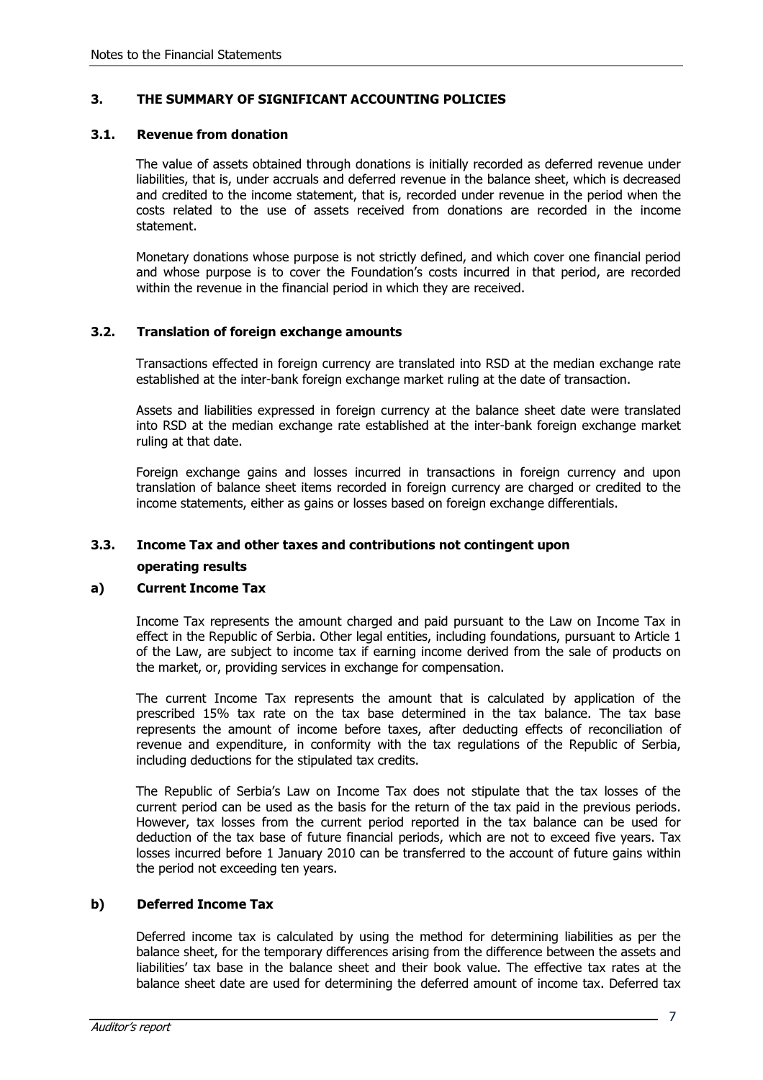#### 3. THE SUMMARY OF SIGNIFICANT ACCOUNTING POLICIES

#### 3.1. Revenue from donation

The value of assets obtained through donations is initially recorded as deferred revenue under liabilities, that is, under accruals and deferred revenue in the balance sheet, which is decreased and credited to the income statement, that is, recorded under revenue in the period when the costs related to the use of assets received from donations are recorded in the income statement.

Monetary donations whose purpose is not strictly defined, and which cover one financial period and whose purpose is to cover the Foundation's costs incurred in that period, are recorded within the revenue in the financial period in which they are received.

#### 3.2. Translation of foreign exchange amounts

Transactions effected in foreign currency are translated into RSD at the median exchange rate established at the inter-bank foreign exchange market ruling at the date of transaction.

Assets and liabilities expressed in foreign currency at the balance sheet date were translated into RSD at the median exchange rate established at the inter-bank foreign exchange market ruling at that date.

Foreign exchange gains and losses incurred in transactions in foreign currency and upon translation of balance sheet items recorded in foreign currency are charged or credited to the income statements, either as gains or losses based on foreign exchange differentials.

## 3.3. Income Tax and other taxes and contributions not contingent upon operating results

#### a) Current Income Tax

Income Tax represents the amount charged and paid pursuant to the Law on Income Tax in effect in the Republic of Serbia. Other legal entities, including foundations, pursuant to Article 1 of the Law, are subject to income tax if earning income derived from the sale of products on the market, or, providing services in exchange for compensation.

The current Income Tax represents the amount that is calculated by application of the prescribed 15% tax rate on the tax base determined in the tax balance. The tax base represents the amount of income before taxes, after deducting effects of reconciliation of revenue and expenditure, in conformity with the tax regulations of the Republic of Serbia, including deductions for the stipulated tax credits.

The Republic of Serbia's Law on Income Tax does not stipulate that the tax losses of the current period can be used as the basis for the return of the tax paid in the previous periods. However, tax losses from the current period reported in the tax balance can be used for deduction of the tax base of future financial periods, which are not to exceed five years. Tax losses incurred before 1 January 2010 can be transferred to the account of future gains within the period not exceeding ten years.

#### b) Deferred Income Tax

Deferred income tax is calculated by using the method for determining liabilities as per the balance sheet, for the temporary differences arising from the difference between the assets and liabilities' tax base in the balance sheet and their book value. The effective tax rates at the balance sheet date are used for determining the deferred amount of income tax. Deferred tax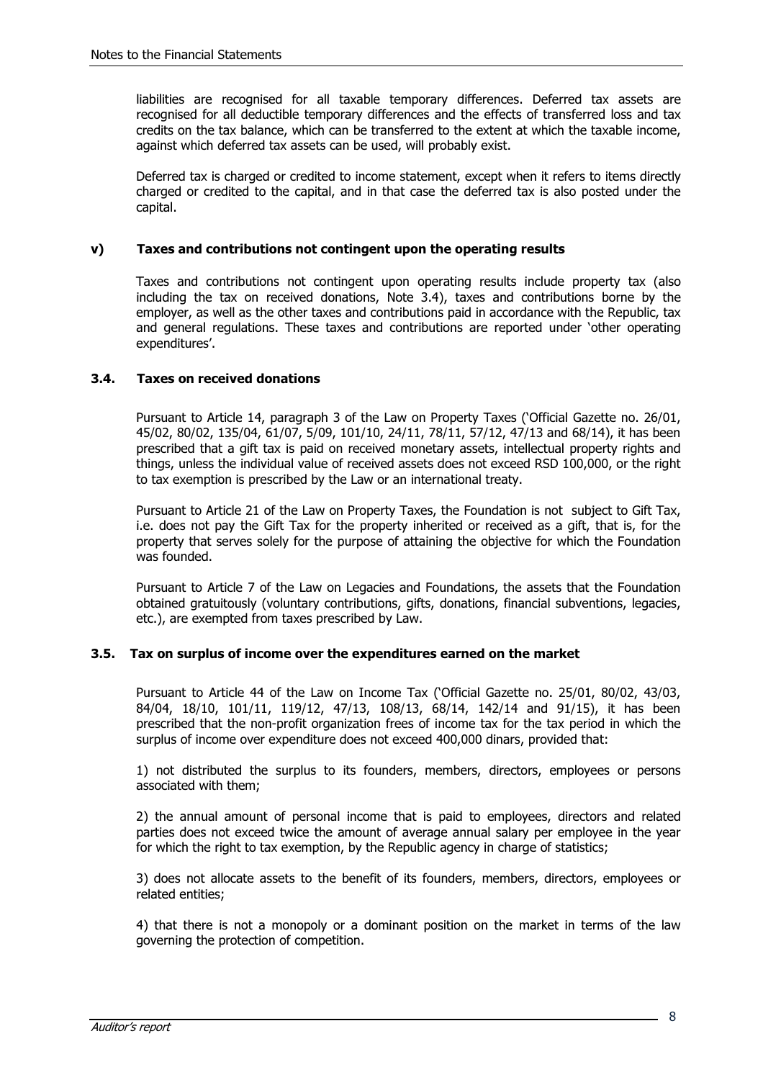liabilities are recognised for all taxable temporary differences. Deferred tax assets are recognised for all deductible temporary differences and the effects of transferred loss and tax credits on the tax balance, which can be transferred to the extent at which the taxable income, against which deferred tax assets can be used, will probably exist.

Deferred tax is charged or credited to income statement, except when it refers to items directly charged or credited to the capital, and in that case the deferred tax is also posted under the capital.

#### v) Taxes and contributions not contingent upon the operating results

Taxes and contributions not contingent upon operating results include property tax (also including the tax on received donations, Note 3.4), taxes and contributions borne by the employer, as well as the other taxes and contributions paid in accordance with the Republic, tax and general regulations. These taxes and contributions are reported under 'other operating expenditures'.

#### 3.4. Taxes on received donations

Pursuant to Article 14, paragraph 3 of the Law on Property Taxes ('Official Gazette no. 26/01, 45/02, 80/02, 135/04, 61/07, 5/09, 101/10, 24/11, 78/11, 57/12, 47/13 and 68/14), it has been prescribed that a gift tax is paid on received monetary assets, intellectual property rights and things, unless the individual value of received assets does not exceed RSD 100,000, or the right to tax exemption is prescribed by the Law or an international treaty.

Pursuant to Article 21 of the Law on Property Taxes, the Foundation is not subject to Gift Tax, i.e. does not pay the Gift Tax for the property inherited or received as a gift, that is, for the property that serves solely for the purpose of attaining the objective for which the Foundation was founded.

Pursuant to Article 7 of the Law on Legacies and Foundations, the assets that the Foundation obtained gratuitously (voluntary contributions, gifts, donations, financial subventions, legacies, etc.), are exempted from taxes prescribed by Law.

#### 3.5. Tax on surplus of income over the expenditures earned on the market

Pursuant to Article 44 of the Law on Income Tax ('Official Gazette no. 25/01, 80/02, 43/03, 84/04, 18/10, 101/11, 119/12, 47/13, 108/13, 68/14, 142/14 and 91/15), it has been prescribed that the non-profit organization frees of income tax for the tax period in which the surplus of income over expenditure does not exceed 400,000 dinars, provided that:

1) not distributed the surplus to its founders, members, directors, employees or persons associated with them;

2) the annual amount of personal income that is paid to employees, directors and related parties does not exceed twice the amount of average annual salary per employee in the year for which the right to tax exemption, by the Republic agency in charge of statistics;

3) does not allocate assets to the benefit of its founders, members, directors, employees or related entities;

4) that there is not a monopoly or a dominant position on the market in terms of the law governing the protection of competition.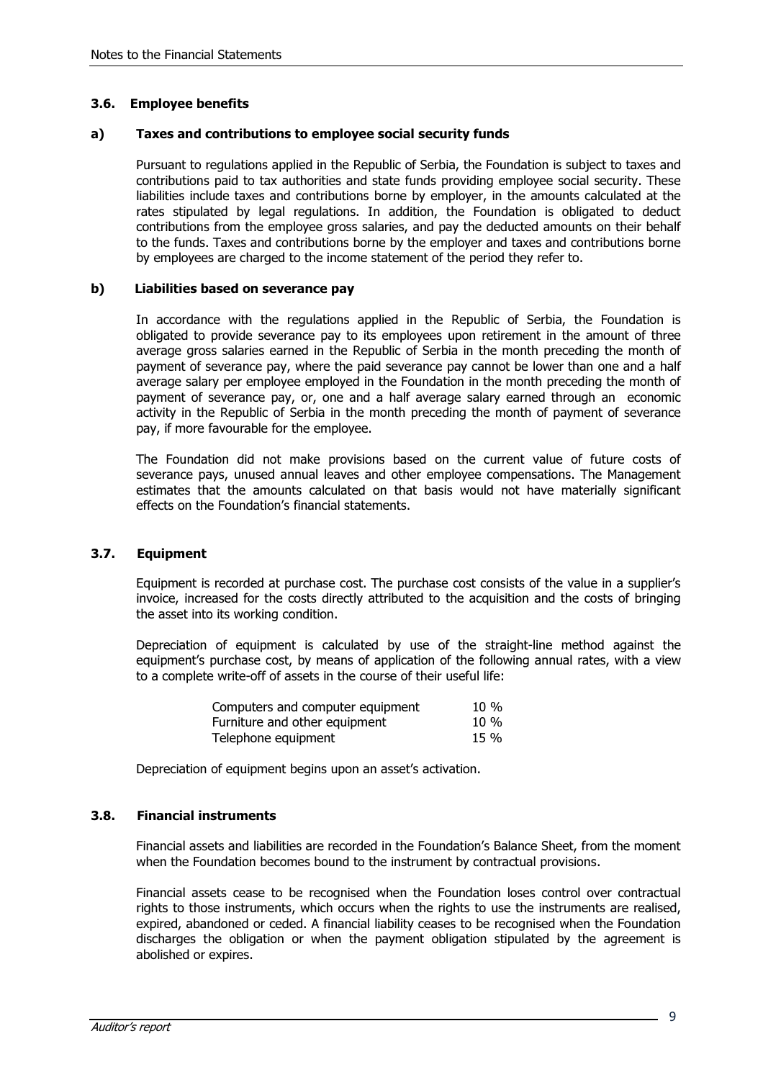#### 3.6. Employee benefits

#### a) Taxes and contributions to employee social security funds

Pursuant to regulations applied in the Republic of Serbia, the Foundation is subject to taxes and contributions paid to tax authorities and state funds providing employee social security. These liabilities include taxes and contributions borne by employer, in the amounts calculated at the rates stipulated by legal regulations. In addition, the Foundation is obligated to deduct contributions from the employee gross salaries, and pay the deducted amounts on their behalf to the funds. Taxes and contributions borne by the employer and taxes and contributions borne by employees are charged to the income statement of the period they refer to.

#### b) Liabilities based on severance pay

In accordance with the regulations applied in the Republic of Serbia, the Foundation is obligated to provide severance pay to its employees upon retirement in the amount of three average gross salaries earned in the Republic of Serbia in the month preceding the month of payment of severance pay, where the paid severance pay cannot be lower than one and a half average salary per employee employed in the Foundation in the month preceding the month of payment of severance pay, or, one and a half average salary earned through an economic activity in the Republic of Serbia in the month preceding the month of payment of severance pay, if more favourable for the employee.

The Foundation did not make provisions based on the current value of future costs of severance pays, unused annual leaves and other employee compensations. The Management estimates that the amounts calculated on that basis would not have materially significant effects on the Foundation's financial statements.

#### 3.7. Equipment

Equipment is recorded at purchase cost. The purchase cost consists of the value in a supplier's invoice, increased for the costs directly attributed to the acquisition and the costs of bringing the asset into its working condition.

Depreciation of equipment is calculated by use of the straight-line method against the equipment's purchase cost, by means of application of the following annual rates, with a view to a complete write-off of assets in the course of their useful life:

| Computers and computer equipment | 10 %   |
|----------------------------------|--------|
| Furniture and other equipment    | 10 %   |
| Telephone equipment              | $15\%$ |

Depreciation of equipment begins upon an asset's activation.

#### 3.8. Financial instruments

Financial assets and liabilities are recorded in the Foundation's Balance Sheet, from the moment when the Foundation becomes bound to the instrument by contractual provisions.

Financial assets cease to be recognised when the Foundation loses control over contractual rights to those instruments, which occurs when the rights to use the instruments are realised, expired, abandoned or ceded. A financial liability ceases to be recognised when the Foundation discharges the obligation or when the payment obligation stipulated by the agreement is abolished or expires.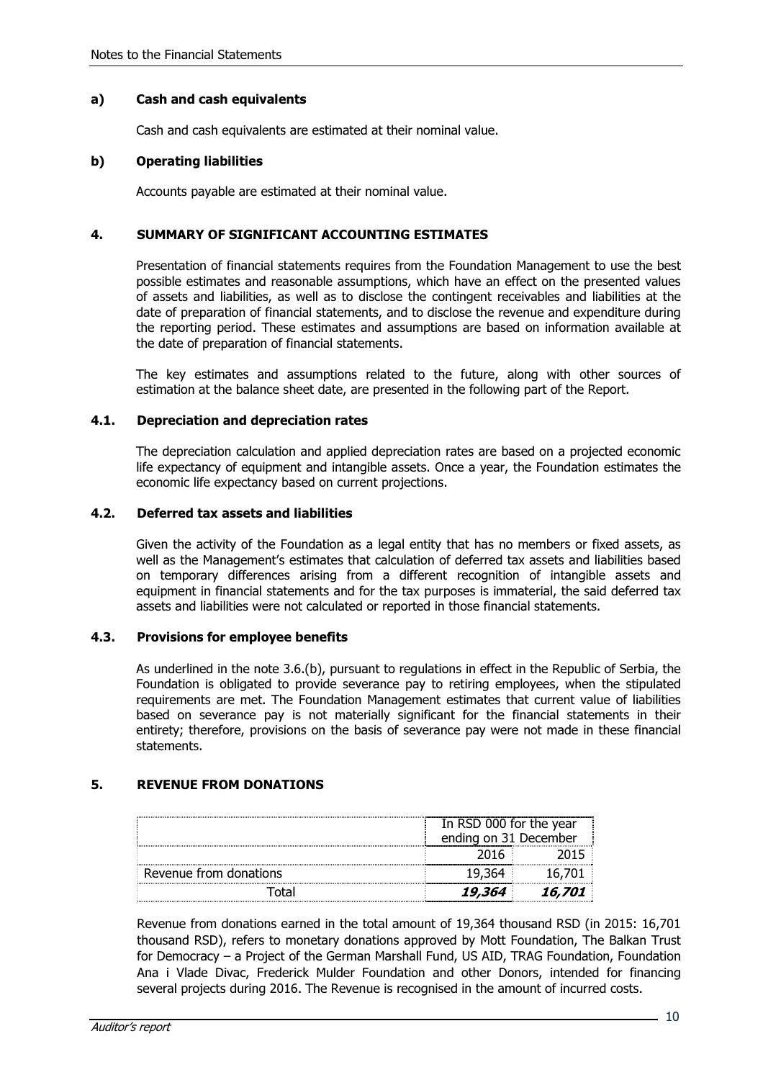#### a) Cash and cash equivalents

Cash and cash equivalents are estimated at their nominal value.

#### b) Operating liabilities

Accounts payable are estimated at their nominal value.

#### 4. SUMMARY OF SIGNIFICANT ACCOUNTING ESTIMATES

Presentation of financial statements requires from the Foundation Management to use the best possible estimates and reasonable assumptions, which have an effect on the presented values of assets and liabilities, as well as to disclose the contingent receivables and liabilities at the date of preparation of financial statements, and to disclose the revenue and expenditure during the reporting period. These estimates and assumptions are based on information available at the date of preparation of financial statements.

The key estimates and assumptions related to the future, along with other sources of estimation at the balance sheet date, are presented in the following part of the Report.

#### 4.1. Depreciation and depreciation rates

The depreciation calculation and applied depreciation rates are based on a projected economic life expectancy of equipment and intangible assets. Once a year, the Foundation estimates the economic life expectancy based on current projections.

#### 4.2. Deferred tax assets and liabilities

Given the activity of the Foundation as a legal entity that has no members or fixed assets, as well as the Management's estimates that calculation of deferred tax assets and liabilities based on temporary differences arising from a different recognition of intangible assets and equipment in financial statements and for the tax purposes is immaterial, the said deferred tax assets and liabilities were not calculated or reported in those financial statements.

#### 4.3. Provisions for employee benefits

As underlined in the note 3.6.(b), pursuant to regulations in effect in the Republic of Serbia, the Foundation is obligated to provide severance pay to retiring employees, when the stipulated requirements are met. The Foundation Management estimates that current value of liabilities based on severance pay is not materially significant for the financial statements in their entirety; therefore, provisions on the basis of severance pay were not made in these financial statements.

#### 5. REVENUE FROM DONATIONS

|                        | In RSD 000 for the year<br>ending on 31 December |        |
|------------------------|--------------------------------------------------|--------|
|                        |                                                  |        |
| Revenue from donations | 19 364                                           |        |
|                        | 19,364                                           | 16.701 |

Revenue from donations earned in the total amount of 19,364 thousand RSD (in 2015: 16,701 thousand RSD), refers to monetary donations approved by Mott Foundation, The Balkan Trust for Democracy – a Project of the German Marshall Fund, US AID, TRAG Foundation, Foundation Ana i Vlade Divac, Frederick Mulder Foundation and other Donors, intended for financing several projects during 2016. The Revenue is recognised in the amount of incurred costs.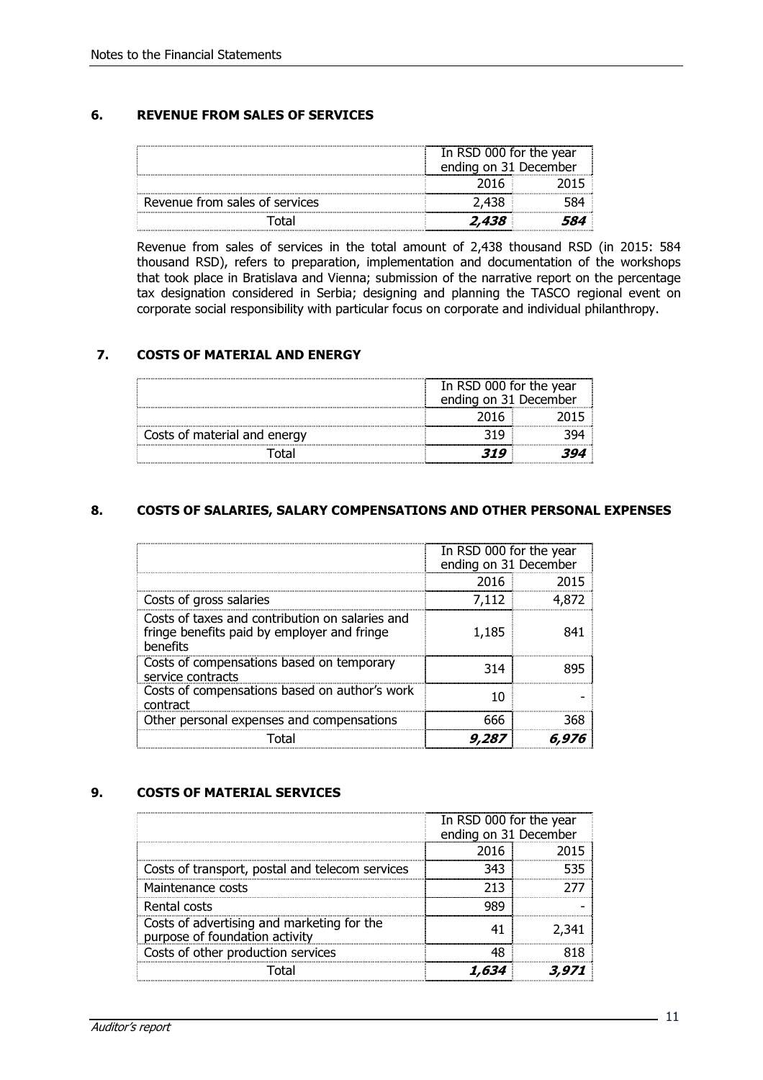#### 6. REVENUE FROM SALES OF SERVICES

|                                | In RSD 000 for the year<br>ending on 31 December |  |
|--------------------------------|--------------------------------------------------|--|
|                                |                                                  |  |
| Revenue from sales of services |                                                  |  |
|                                | 2.438                                            |  |

 Revenue from sales of services in the total amount of 2,438 thousand RSD (in 2015: 584 thousand RSD), refers to preparation, implementation and documentation of the workshops that took place in Bratislava and Vienna; submission of the narrative report on the percentage tax designation considered in Serbia; designing and planning the TASCO regional event on corporate social responsibility with particular focus on corporate and individual philanthropy.

#### 7. COSTS OF MATERIAL AND ENERGY

|                              | In RSD 000 for the year<br>ending on 31 December |  |
|------------------------------|--------------------------------------------------|--|
|                              |                                                  |  |
| Costs of material and energy |                                                  |  |
|                              |                                                  |  |

#### 8. COSTS OF SALARIES, SALARY COMPENSATIONS AND OTHER PERSONAL EXPENSES

|                                                                                                            | In RSD 000 for the year<br>ending on 31 December |      |
|------------------------------------------------------------------------------------------------------------|--------------------------------------------------|------|
|                                                                                                            | 2016                                             | 2015 |
| Costs of gross salaries                                                                                    | 7.112                                            |      |
| Costs of taxes and contribution on salaries and<br>fringe benefits paid by employer and fringe<br>benefits | 1,185                                            |      |
| Costs of compensations based on temporary<br>service contracts                                             | 314                                              |      |
| Costs of compensations based on author's work<br>contract                                                  |                                                  |      |
| Other personal expenses and compensations                                                                  | 666                                              |      |
| Total                                                                                                      | 9.287                                            |      |

#### $9.$ 9. COSTS OF MATERIAL SERVICES

|                                                                              | In RSD 000 for the year<br>ending on 31 December |  |
|------------------------------------------------------------------------------|--------------------------------------------------|--|
|                                                                              | 2016                                             |  |
| Costs of transport, postal and telecom services                              | 343                                              |  |
| Maintenance costs                                                            | 213                                              |  |
| Rental costs                                                                 |                                                  |  |
| Costs of advertising and marketing for the<br>purpose of foundation activity |                                                  |  |
| Costs of other production services                                           |                                                  |  |
| Total                                                                        |                                                  |  |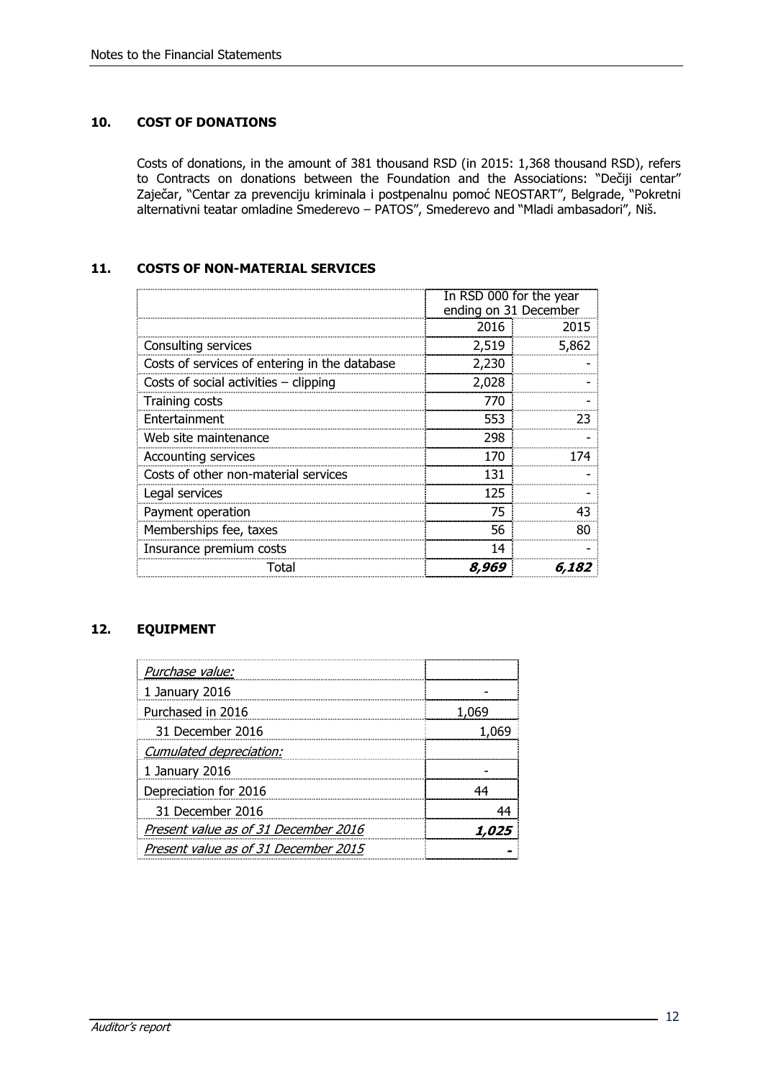#### 10. COST OF DONATIONS

 Costs of donations, in the amount of 381 thousand RSD (in 2015: 1,368 thousand RSD), refers to Contracts on donations between the Foundation and the Associations: "Dečiji centar" Zaječar, "Centar za prevenciju kriminala i postpenalnu pomoć NEOSTART", Belgrade, "Pokretni alternativni teatar omladine Smederevo – PATOS", Smederevo and "Mladi ambasadori", Niš.

#### 11. COSTS OF NON-MATERIAL SERVICES

|                                               | In RSD 000 for the year<br>ending on 31 December |              |
|-----------------------------------------------|--------------------------------------------------|--------------|
|                                               | 2016                                             | 2015         |
| Consulting services                           | 2,519                                            | 5,862        |
| Costs of services of entering in the database | 2,230                                            |              |
| Costs of social activities $-$ clipping       | 2,028                                            |              |
| <b>Training costs</b>                         | 770                                              |              |
| Entertainment                                 | 553                                              | ノく           |
| Web site maintenance                          | 298                                              |              |
| <b>Accounting services</b>                    | 170                                              |              |
| Costs of other non-material services          | 131                                              |              |
| Legal services                                | 125                                              |              |
| Payment operation                             | 75                                               | 43           |
| Memberships fee, taxes                        | 56                                               | яn           |
| Insurance premium costs                       | 14                                               |              |
| Total                                         | 8,969                                            | <i>6,182</i> |

## 12. EQUIPMENT

| Purchase value:                      |       |
|--------------------------------------|-------|
| 1 January 2016                       |       |
| Purchased in 2016                    | 1,069 |
| 31 December 2016                     |       |
| Cumulated depreciation:              |       |
| 1 January 2016                       |       |
| Depreciation for 2016                |       |
| 31 December 2016                     |       |
| Present value as of 31 December 2016 |       |
| Present value as of 31 December 2015 |       |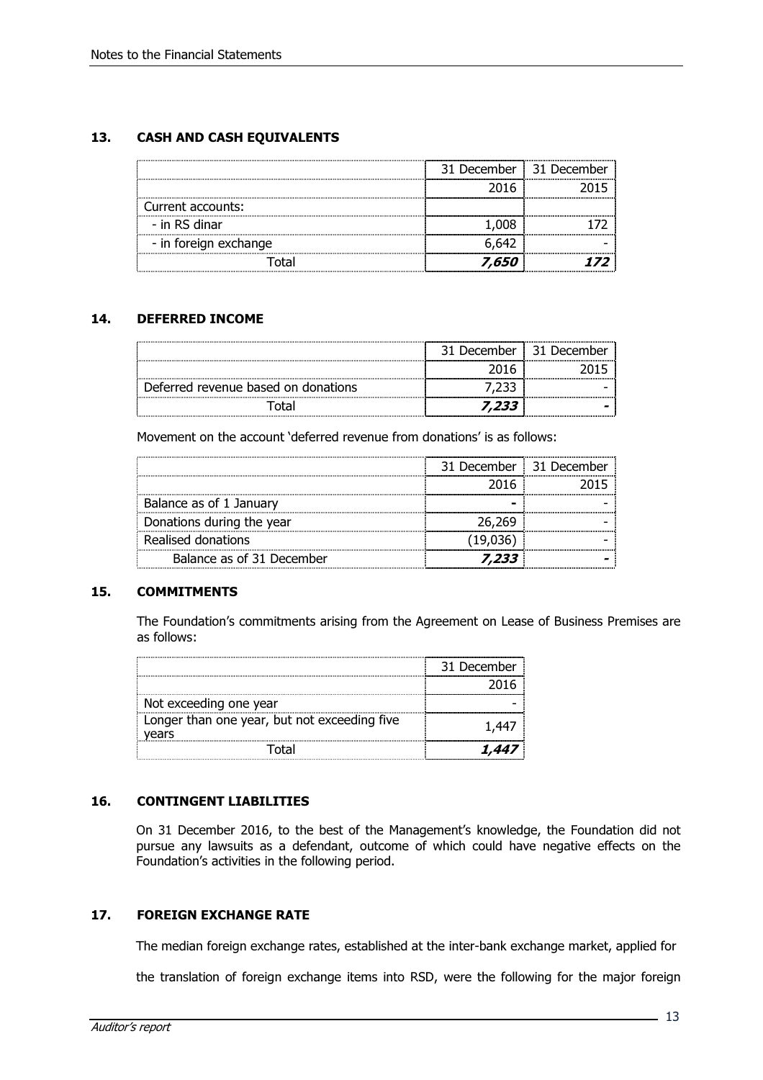#### 13. CASH AND CASH EQUIVALENTS

|                       | 31 December   31 December |  |
|-----------------------|---------------------------|--|
|                       | 2016                      |  |
| Current accounts:     |                           |  |
| - in RS dinar         |                           |  |
| - in foreign exchange | 6.642                     |  |
|                       | 7.650                     |  |

#### 14. DEFERRED INCOME

|                                     | - 31 December - 31 December |  |
|-------------------------------------|-----------------------------|--|
|                                     |                             |  |
| Deferred revenue based on donations |                             |  |
|                                     |                             |  |

Movement on the account 'deferred revenue from donations' is as follows:

|                           |          | 31 December 31 December |
|---------------------------|----------|-------------------------|
|                           | 2016     |                         |
| Balance as of 1 January   |          |                         |
| Donations during the year | 26,269   |                         |
| Realised donations        | (19,036) |                         |
| Balance as of 31 December | 7,233    |                         |

#### 15. COMMITMENTS

The Foundation's commitments arising from the Agreement on Lease of Business Premises are as follows:

|                                                       | 31 December |
|-------------------------------------------------------|-------------|
|                                                       |             |
| Not exceeding one year                                |             |
| Longer than one year, but not exceeding five<br>vears |             |
| . ntal                                                |             |

#### 16. CONTINGENT LIABILITIES

On 31 December 2016, to the best of the Management's knowledge, the Foundation did not pursue any lawsuits as a defendant, outcome of which could have negative effects on the Foundation's activities in the following period.

#### 17. FOREIGN EXCHANGE RATE

The median foreign exchange rates, established at the inter-bank exchange market, applied for

the translation of foreign exchange items into RSD, were the following for the major foreign